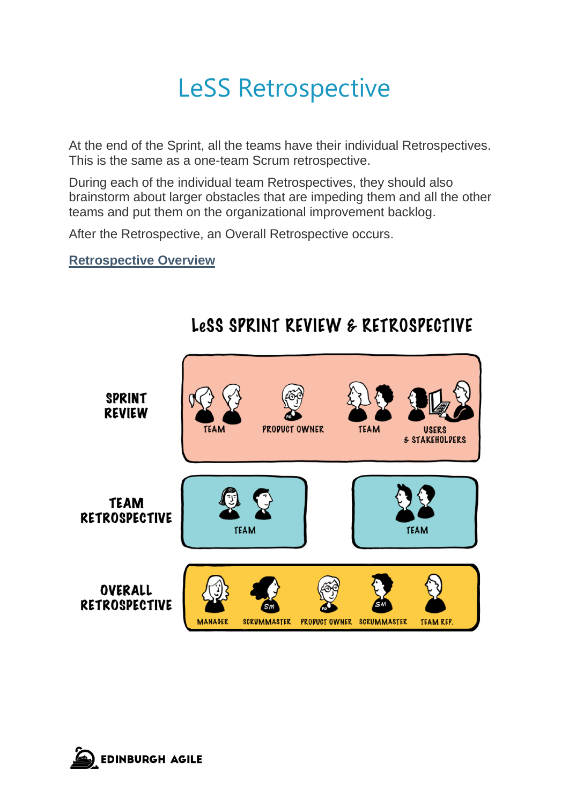## LeSS Retrospective

At the end of the Sprint, all the teams have their individual Retrospectives. This is the same as a one-team Scrum retrospective.

During each of the individual team Retrospectives, they should also brainstorm about larger obstacles that are impeding them and all the other teams and put them on the organizational improvement backlog.

After the Retrospective, an Overall Retrospective occurs.

**Retrospective Overview**



### LeSS SPRINT REVIEW & RETROSPECTIVE

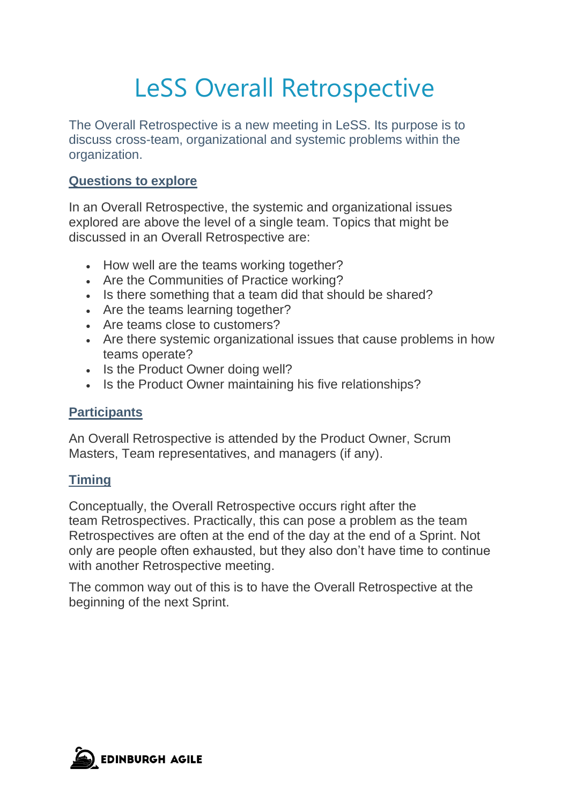# LeSS Overall Retrospective

The Overall Retrospective is a new meeting in LeSS. Its purpose is to discuss cross-team, organizational and systemic problems within the organization.

#### **Questions to explore**

In an Overall Retrospective, the systemic and organizational issues explored are above the level of a single team. Topics that might be discussed in an Overall Retrospective are:

- How well are the teams working together?
- Are the Communities of Practice working?
- Is there something that a team did that should be shared?
- Are the teams learning together?
- Are teams close to customers?
- Are there systemic organizational issues that cause problems in how teams operate?
- Is the Product Owner doing well?
- Is the Product Owner maintaining his [five relationships?](https://less.works/less/framework/product-owner.html#five-relationships)

#### **Participants**

An Overall Retrospective is attended by the Product Owner, Scrum Masters, Team representatives, and managers (if any).

#### **Timing**

Conceptually, the Overall Retrospective occurs right after the team Retrospectives. Practically, this can pose a problem as the team Retrospectives are often at the end of the day at the end of a Sprint. Not only are people often exhausted, but they also don't have time to continue with another Retrospective meeting.

The common way out of this is to have the Overall Retrospective at the beginning of the next Sprint.